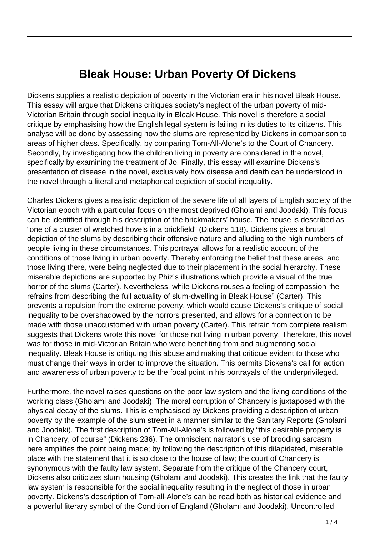## **Bleak House: Urban Poverty Of Dickens**

Dickens supplies a realistic depiction of poverty in the Victorian era in his novel Bleak House. This essay will argue that Dickens critiques society's neglect of the urban poverty of mid-Victorian Britain through social inequality in Bleak House. This novel is therefore a social critique by emphasising how the English legal system is failing in its duties to its citizens. This analyse will be done by assessing how the slums are represented by Dickens in comparison to areas of higher class. Specifically, by comparing Tom-All-Alone's to the Court of Chancery. Secondly, by investigating how the children living in poverty are considered in the novel, specifically by examining the treatment of Jo. Finally, this essay will examine Dickens's presentation of disease in the novel, exclusively how disease and death can be understood in the novel through a literal and metaphorical depiction of social inequality.

Charles Dickens gives a realistic depiction of the severe life of all layers of English society of the Victorian epoch with a particular focus on the most deprived (Gholami and Joodaki). This focus can be identified through his description of the brickmakers' house. The house is described as "one of a cluster of wretched hovels in a brickfield" (Dickens 118). Dickens gives a brutal depiction of the slums by describing their offensive nature and alluding to the high numbers of people living in these circumstances. This portrayal allows for a realistic account of the conditions of those living in urban poverty. Thereby enforcing the belief that these areas, and those living there, were being neglected due to their placement in the social hierarchy. These miserable depictions are supported by Phiz's illustrations which provide a visual of the true horror of the slums (Carter). Nevertheless, while Dickens rouses a feeling of compassion "he refrains from describing the full actuality of slum-dwelling in Bleak House" (Carter). This prevents a repulsion from the extreme poverty, which would cause Dickens's critique of social inequality to be overshadowed by the horrors presented, and allows for a connection to be made with those unaccustomed with urban poverty (Carter). This refrain from complete realism suggests that Dickens wrote this novel for those not living in urban poverty. Therefore, this novel was for those in mid-Victorian Britain who were benefiting from and augmenting social inequality. Bleak House is critiquing this abuse and making that critique evident to those who must change their ways in order to improve the situation. This permits Dickens's call for action and awareness of urban poverty to be the focal point in his portrayals of the underprivileged.

Furthermore, the novel raises questions on the poor law system and the living conditions of the working class (Gholami and Joodaki). The moral corruption of Chancery is juxtaposed with the physical decay of the slums. This is emphasised by Dickens providing a description of urban poverty by the example of the slum street in a manner similar to the Sanitary Reports (Gholami and Joodaki). The first description of Tom-All-Alone's is followed by "this desirable property is in Chancery, of course" (Dickens 236). The omniscient narrator's use of brooding sarcasm here amplifies the point being made; by following the description of this dilapidated, miserable place with the statement that it is so close to the house of law; the court of Chancery is synonymous with the faulty law system. Separate from the critique of the Chancery court, Dickens also criticizes slum housing (Gholami and Joodaki). This creates the link that the faulty law system is responsible for the social inequality resulting in the neglect of those in urban poverty. Dickens's description of Tom-all-Alone's can be read both as historical evidence and a powerful literary symbol of the Condition of England (Gholami and Joodaki). Uncontrolled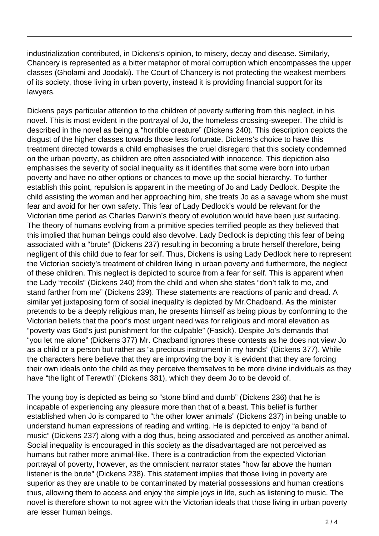industrialization contributed, in Dickens's opinion, to misery, decay and disease. Similarly, Chancery is represented as a bitter metaphor of moral corruption which encompasses the upper classes (Gholami and Joodaki). The Court of Chancery is not protecting the weakest members of its society, those living in urban poverty, instead it is providing financial support for its lawyers.

Dickens pays particular attention to the children of poverty suffering from this neglect, in his novel. This is most evident in the portrayal of Jo, the homeless crossing-sweeper. The child is described in the novel as being a "horrible creature" (Dickens 240). This description depicts the disgust of the higher classes towards those less fortunate. Dickens's choice to have this treatment directed towards a child emphasises the cruel disregard that this society condemned on the urban poverty, as children are often associated with innocence. This depiction also emphasises the severity of social inequality as it identifies that some were born into urban poverty and have no other options or chances to move up the social hierarchy. To further establish this point, repulsion is apparent in the meeting of Jo and Lady Dedlock. Despite the child assisting the woman and her approaching him, she treats Jo as a savage whom she must fear and avoid for her own safety. This fear of Lady Dedlock's would be relevant for the Victorian time period as Charles Darwin's theory of evolution would have been just surfacing. The theory of humans evolving from a primitive species terrified people as they believed that this implied that human beings could also devolve. Lady Dedlock is depicting this fear of being associated with a "brute" (Dickens 237) resulting in becoming a brute herself therefore, being negligent of this child due to fear for self. Thus, Dickens is using Lady Dedlock here to represent the Victorian society's treatment of children living in urban poverty and furthermore, the neglect of these children. This neglect is depicted to source from a fear for self. This is apparent when the Lady "recoils" (Dickens 240) from the child and when she states "don't talk to me, and stand farther from me" (Dickens 239). These statements are reactions of panic and dread. A similar yet juxtaposing form of social inequality is depicted by Mr.Chadband. As the minister pretends to be a deeply religious man, he presents himself as being pious by conforming to the Victorian beliefs that the poor's most urgent need was for religious and moral elevation as "poverty was God's just punishment for the culpable" (Fasick). Despite Jo's demands that "you let me alone" (Dickens 377) Mr. Chadband ignores these contests as he does not view Jo as a child or a person but rather as "a precious instrument in my hands" (Dickens 377). While the characters here believe that they are improving the boy it is evident that they are forcing their own ideals onto the child as they perceive themselves to be more divine individuals as they have "the light of Terewth" (Dickens 381), which they deem Jo to be devoid of.

The young boy is depicted as being so "stone blind and dumb" (Dickens 236) that he is incapable of experiencing any pleasure more than that of a beast. This belief is further established when Jo is compared to "the other lower animals" (Dickens 237) in being unable to understand human expressions of reading and writing. He is depicted to enjoy "a band of music" (Dickens 237) along with a dog thus, being associated and perceived as another animal. Social inequality is encouraged in this society as the disadvantaged are not perceived as humans but rather more animal-like. There is a contradiction from the expected Victorian portrayal of poverty, however, as the omniscient narrator states "how far above the human listener is the brute" (Dickens 238). This statement implies that those living in poverty are superior as they are unable to be contaminated by material possessions and human creations thus, allowing them to access and enjoy the simple joys in life, such as listening to music. The novel is therefore shown to not agree with the Victorian ideals that those living in urban poverty are lesser human beings.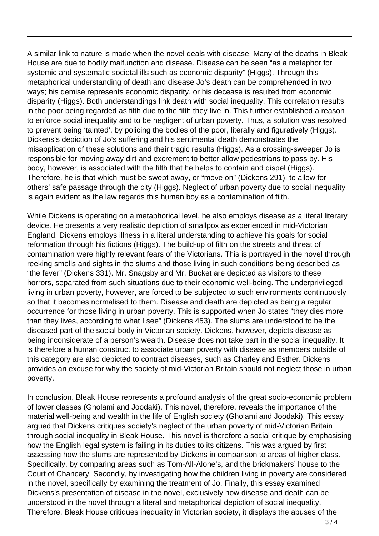A similar link to nature is made when the novel deals with disease. Many of the deaths in Bleak House are due to bodily malfunction and disease. Disease can be seen "as a metaphor for systemic and systematic societal ills such as economic disparity" (Higgs). Through this metaphorical understanding of death and disease Jo's death can be comprehended in two ways; his demise represents economic disparity, or his decease is resulted from economic disparity (Higgs). Both understandings link death with social inequality. This correlation results in the poor being regarded as filth due to the filth they live in. This further established a reason to enforce social inequality and to be negligent of urban poverty. Thus, a solution was resolved to prevent being 'tainted', by policing the bodies of the poor, literally and figuratively (Higgs). Dickens's depiction of Jo's suffering and his sentimental death demonstrates the misapplication of these solutions and their tragic results (Higgs). As a crossing-sweeper Jo is responsible for moving away dirt and excrement to better allow pedestrians to pass by. His body, however, is associated with the filth that he helps to contain and dispel (Higgs). Therefore, he is that which must be swept away, or "move on" (Dickens 291), to allow for others' safe passage through the city (Higgs). Neglect of urban poverty due to social inequality is again evident as the law regards this human boy as a contamination of filth.

While Dickens is operating on a metaphorical level, he also employs disease as a literal literary device. He presents a very realistic depiction of smallpox as experienced in mid-Victorian England. Dickens employs illness in a literal understanding to achieve his goals for social reformation through his fictions (Higgs). The build-up of filth on the streets and threat of contamination were highly relevant fears of the Victorians. This is portrayed in the novel through reeking smells and sights in the slums and those living in such conditions being described as "the fever" (Dickens 331). Mr. Snagsby and Mr. Bucket are depicted as visitors to these horrors, separated from such situations due to their economic well-being. The underprivileged living in urban poverty, however, are forced to be subjected to such environments continuously so that it becomes normalised to them. Disease and death are depicted as being a regular occurrence for those living in urban poverty. This is supported when Jo states "they dies more than they lives, according to what I see" (Dickens 453). The slums are understood to be the diseased part of the social body in Victorian society. Dickens, however, depicts disease as being inconsiderate of a person's wealth. Disease does not take part in the social inequality. It is therefore a human construct to associate urban poverty with disease as members outside of this category are also depicted to contract diseases, such as Charley and Esther. Dickens provides an excuse for why the society of mid-Victorian Britain should not neglect those in urban poverty.

In conclusion, Bleak House represents a profound analysis of the great socio-economic problem of lower classes (Gholami and Joodaki). This novel, therefore, reveals the importance of the material well-being and wealth in the life of English society (Gholami and Joodaki). This essay argued that Dickens critiques society's neglect of the urban poverty of mid-Victorian Britain through social inequality in Bleak House. This novel is therefore a social critique by emphasising how the English legal system is failing in its duties to its citizens. This was argued by first assessing how the slums are represented by Dickens in comparison to areas of higher class. Specifically, by comparing areas such as Tom-All-Alone's, and the brickmakers' house to the Court of Chancery. Secondly, by investigating how the children living in poverty are considered in the novel, specifically by examining the treatment of Jo. Finally, this essay examined Dickens's presentation of disease in the novel, exclusively how disease and death can be understood in the novel through a literal and metaphorical depiction of social inequality. Therefore, Bleak House critiques inequality in Victorian society, it displays the abuses of the